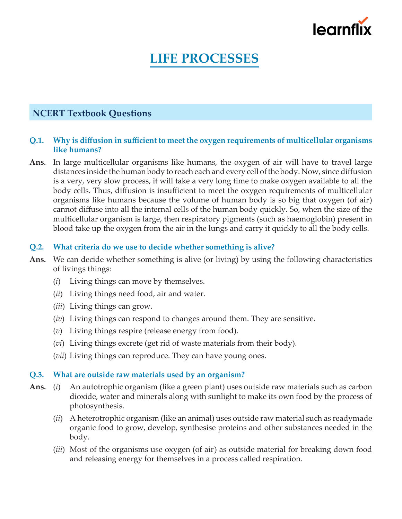

# **LIFE PROCESSES**

## **NCERT Textbook Questions**

## **Q.1. Why is diffusion in sufficient to meet the oxygen requirements of multicellular organisms like humans?**

**Ans.** In large multicellular organisms like humans, the oxygen of air will have to travel large distances inside the human body to reach each and every cell of the body. Now, since diffusion is a very, very slow process, it will take a very long time to make oxygen available to all the body cells. Thus, diffusion is insufficient to meet the oxygen requirements of multicellular organisms like humans because the volume of human body is so big that oxygen (of air) cannot diffuse into all the internal cells of the human body quickly. So, when the size of the multicellular organism is large, then respiratory pigments (such as haemoglobin) present in blood take up the oxygen from the air in the lungs and carry it quickly to all the body cells.

## **Q.2. What criteria do we use to decide whether something is alive?**

- **Ans.** We can decide whether something is alive (or living) by using the following characteristics of livings things:
	- (*i*) Living things can move by themselves.
	- (*ii*) Living things need food, air and water.
	- (*iii*) Living things can grow.
	- (*iv*) Living things can respond to changes around them. They are sensitive.
	- (*v*) Living things respire (release energy from food).
	- (*vi*) Living things excrete (get rid of waste materials from their body).
	- (*vii*) Living things can reproduce. They can have young ones.

## **Q.3. What are outside raw materials used by an organism?**

- **Ans.** (*i*) An autotrophic organism (like a green plant) uses outside raw materials such as carbon dioxide, water and minerals along with sunlight to make its own food by the process of photosynthesis.
	- (*ii*) A heterotrophic organism (like an animal) uses outside raw material such as readymade organic food to grow, develop, synthesise proteins and other substances needed in the body.
	- (*iii*) Most of the organisms use oxygen (of air) as outside material for breaking down food and releasing energy for themselves in a process called respiration.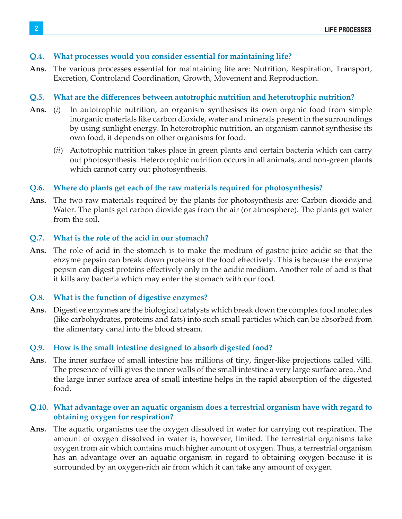## **Q.4. What processes would you consider essential for maintaining life?**

**Ans.** The various processes essential for maintaining life are: Nutrition, Respiration, Transport, Excretion, Controland Coordination, Growth, Movement and Reproduction.

## **Q.5. What are the differences between autotrophic nutrition and heterotrophic nutrition?**

- **Ans.** (*i*) In autotrophic nutrition, an organism synthesises its own organic food from simple inorganic materials like carbon dioxide, water and minerals present in the surroundings by using sunlight energy. In heterotrophic nutrition, an organism cannot synthesise its own food, it depends on other organisms for food.
	- (*ii*) Autotrophic nutrition takes place in green plants and certain bacteria which can carry out photosynthesis. Heterotrophic nutrition occurs in all animals, and non-green plants which cannot carry out photosynthesis.

## **Q.6. Where do plants get each of the raw materials required for photosynthesis?**

**Ans.** The two raw materials required by the plants for photosynthesis are: Carbon dioxide and Water. The plants get carbon dioxide gas from the air (or atmosphere). The plants get water from the soil.

## **Q.7. What is the role of the acid in our stomach?**

**Ans.** The role of acid in the stomach is to make the medium of gastric juice acidic so that the enzyme pepsin can break down proteins of the food effectively. This is because the enzyme pepsin can digest proteins effectively only in the acidic medium. Another role of acid is that it kills any bacteria which may enter the stomach with our food.

## **Q.8. What is the function of digestive enzymes?**

**Ans.** Digestive enzymes are the biological catalysts which break down the complex food molecules (like carbohydrates, proteins and fats) into such small particles which can be absorbed from the alimentary canal into the blood stream.

## **Q.9. How is the small intestine designed to absorb digested food?**

**Ans.** The inner surface of small intestine has millions of tiny, finger-like projections called villi. The presence of villi gives the inner walls of the small intestine a very large surface area. And the large inner surface area of small intestine helps in the rapid absorption of the digested food.

## **Q.10. What advantage over an aquatic organism does a terrestrial organism have with regard to obtaining oxygen for respiration?**

**Ans.** The aquatic organisms use the oxygen dissolved in water for carrying out respiration. The amount of oxygen dissolved in water is, however, limited. The terrestrial organisms take oxygen from air which contains much higher amount of oxygen. Thus, a terrestrial organism has an advantage over an aquatic organism in regard to obtaining oxygen because it is surrounded by an oxygen-rich air from which it can take any amount of oxygen.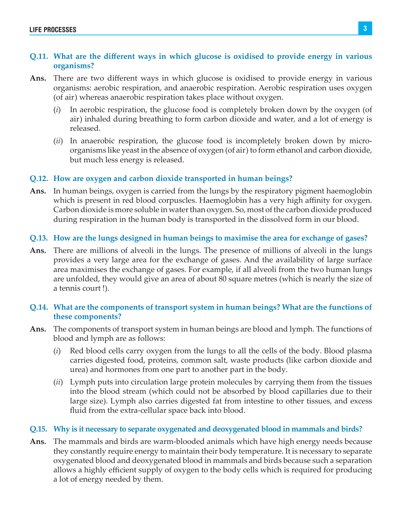## **Q.11. What are the different ways in which glucose is oxidised to provide energy in various organisms?**

- **Ans.** There are two different ways in which glucose is oxidised to provide energy in various organisms: aerobic respiration, and anaerobic respiration. Aerobic respiration uses oxygen (of air) whereas anaerobic respiration takes place without oxygen.
	- (*i*) In aerobic respiration, the glucose food is completely broken down by the oxygen (of air) inhaled during breathing to form carbon dioxide and water, and a lot of energy is released.
	- (*ii*) In anaerobic respiration, the glucose food is incompletely broken down by microorganisms like yeast in the absence of oxygen (of air) to form ethanol and carbon dioxide, but much less energy is released.

## **Q.12. How are oxygen and carbon dioxide transported in human beings?**

**Ans.** In human beings, oxygen is carried from the lungs by the respiratory pigment haemoglobin which is present in red blood corpuscles. Haemoglobin has a very high affinity for oxygen. Carbon dioxide is more soluble in water than oxygen. So, most of the carbon dioxide produced during respiration in the human body is transported in the dissolved form in our blood.

## **Q.13. How are the lungs designed in human beings to maximise the area for exchange of gases?**

**Ans.** There are millions of alveoli in the lungs. The presence of millions of alveoli in the lungs provides a very large area for the exchange of gases. And the availability of large surface area maximises the exchange of gases. For example, if all alveoli from the two human lungs are unfolded, they would give an area of about 80 square metres (which is nearly the size of a tennis court !).

## **Q.14. What are the components of transport system in human beings? What are the functions of these components?**

- **Ans.** The components of transport system in human beings are blood and lymph. The functions of blood and lymph are as follows:
	- (*i*) Red blood cells carry oxygen from the lungs to all the cells of the body. Blood plasma carries digested food, proteins, common salt, waste products (like carbon dioxide and urea) and hormones from one part to another part in the body.
	- (*ii*) Lymph puts into circulation large protein molecules by carrying them from the tissues into the blood stream (which could not be absorbed by blood capillaries due to their large size). Lymph also carries digested fat from intestine to other tissues, and excess fluid from the extra-cellular space back into blood.

## **Q.15. Why is it necessary to separate oxygenated and deoxygenated blood in mammals and birds?**

**Ans.** The mammals and birds are warm-blooded animals which have high energy needs because they constantly require energy to maintain their body temperature. It is necessary to separate oxygenated blood and deoxygenated blood in mammals and birds because such a separation allows a highly efficient supply of oxygen to the body cells which is required for producing a lot of energy needed by them.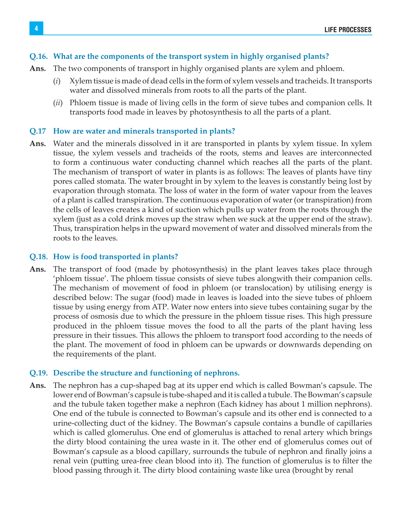#### **Q.16. What are the components of the transport system in highly organised plants?**

- **Ans.** The two components of transport in highly organised plants are xylem and phloem.
	- (*i*) Xylem tissue is made of dead cells in the form of xylem vessels and tracheids. It transports water and dissolved minerals from roots to all the parts of the plant.
	- (*ii*) Phloem tissue is made of living cells in the form of sieve tubes and companion cells. It transports food made in leaves by photosynthesis to all the parts of a plant.

#### **Q.17 How are water and minerals transported in plants?**

**Ans.** Water and the minerals dissolved in it are transported in plants by xylem tissue. In xylem tissue, the xylem vessels and tracheids of the roots, stems and leaves are interconnected to form a continuous water conducting channel which reaches all the parts of the plant. The mechanism of transport of water in plants is as follows: The leaves of plants have tiny pores called stomata. The water brought in by xylem to the leaves is constantly being lost by evaporation through stomata. The loss of water in the form of water vapour from the leaves of a plant is called transpiration. The continuous evaporation of water (or transpiration) from the cells of leaves creates a kind of suction which pulls up water from the roots through the xylem (just as a cold drink moves up the straw when we suck at the upper end of the straw). Thus, transpiration helps in the upward movement of water and dissolved minerals from the roots to the leaves.

#### **Q.18. How is food transported in plants?**

**Ans.** The transport of food (made by photosynthesis) in the plant leaves takes place through 'phloem tissue'. The phloem tissue consists of sieve tubes alongwith their companion cells. The mechanism of movement of food in phloem (or translocation) by utilising energy is described below: The sugar (food) made in leaves is loaded into the sieve tubes of phloem tissue by using energy from ATP. Water now enters into sieve tubes containing sugar by the process of osmosis due to which the pressure in the phloem tissue rises. This high pressure produced in the phloem tissue moves the food to all the parts of the plant having less pressure in their tissues. This allows the phloem to transport food according to the needs of the plant. The movement of food in phloem can be upwards or downwards depending on the requirements of the plant.

#### **Q.19. Describe the structure and functioning of nephrons.**

**Ans.** The nephron has a cup-shaped bag at its upper end which is called Bowman's capsule. The lower end of Bowman's capsule is tube-shaped and it is called a tubule. The Bowman's capsule and the tubule taken together make a nephron (Each kidney has about 1 million nephrons). One end of the tubule is connected to Bowman's capsule and its other end is connected to a urine-collecting duct of the kidney. The Bowman's capsule contains a bundle of capillaries which is called glomerulus. One end of glomerulus is attached to renal artery which brings the dirty blood containing the urea waste in it. The other end of glomerulus comes out of Bowman's capsule as a blood capillary, surrounds the tubule of nephron and finally joins a renal vein (putting urea-free clean blood into it). The function of glomerulus is to filter the blood passing through it. The dirty blood containing waste like urea (brought by renal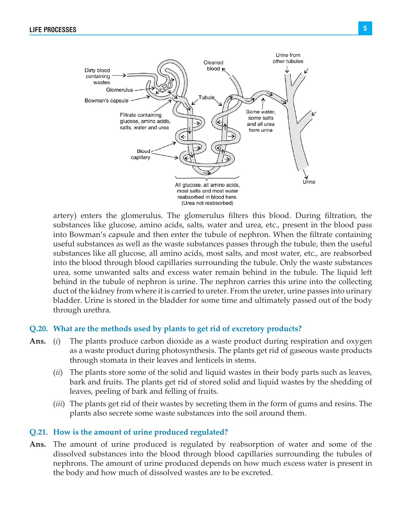

artery) enters the glomerulus. The glomerulus filters this blood. During filtration, the substances like glucose, amino acids, salts, water and urea, etc., present in the blood pass into Bowman's capsule and then enter the tubule of nephron. When the filtrate containing useful substances as well as the waste substances passes through the tubule, then the useful substances like all glucose, all amino acids, most salts, and most water, etc., are reabsorbed into the blood through blood capillaries surrounding the tubule. Only the waste substances urea, some unwanted salts and excess water remain behind in the tubule. The liquid left behind in the tubule of nephron is urine. The nephron carries this urine into the collecting duct of the kidney from where it is carried to ureter. From the ureter, urine passes into urinary bladder. Urine is stored in the bladder for some time and ultimately passed out of the body through urethra.

## **Q.20. What are the methods used by plants to get rid of excretory products?**

- **Ans.** (*i*) The plants produce carbon dioxide as a waste product during respiration and oxygen as a waste product during photosynthesis. The plants get rid of gaseous waste products through stomata in their leaves and lenticels in stems.
	- (*ii*) The plants store some of the solid and liquid wastes in their body parts such as leaves, bark and fruits. The plants get rid of stored solid and liquid wastes by the shedding of leaves, peeling of bark and felling of fruits.
	- (*iii*) The plants get rid of their wastes by secreting them in the form of gums and resins. The plants also secrete some waste substances into the soil around them.

## **Q.21. How is the amount of urine produced regulated?**

**Ans.** The amount of urine produced is regulated by reabsorption of water and some of the dissolved substances into the blood through blood capillaries surrounding the tubules of nephrons. The amount of urine produced depends on how much excess water is present in the body and how much of dissolved wastes are to be excreted.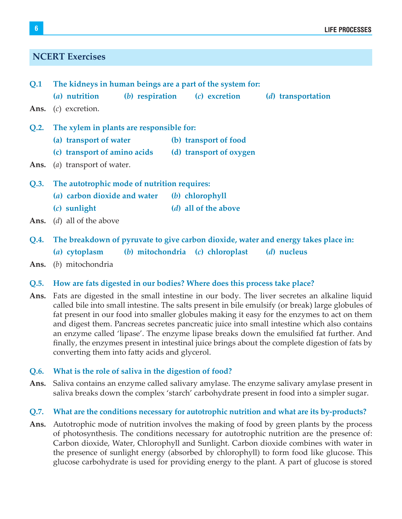## **NCERT Exercises**

| Q.1 The kidneys in human beings are a part of the system for:  |  |                         |  |  |  |  |  |
|----------------------------------------------------------------|--|-------------------------|--|--|--|--|--|
| (a) nutrition (b) respiration (c) excretion (d) transportation |  |                         |  |  |  |  |  |
| Ans. $(c)$ excretion.                                          |  |                         |  |  |  |  |  |
| Q.2. The xylem in plants are responsible for:                  |  |                         |  |  |  |  |  |
| (a) transport of water                                         |  | (b) transport of food   |  |  |  |  |  |
| (c) transport of amino acids                                   |  | (d) transport of oxygen |  |  |  |  |  |
| <b>Ans.</b> ( <i>a</i> ) transport of water.                   |  |                         |  |  |  |  |  |
| Q.3. The autotrophic mode of nutrition requires:               |  |                         |  |  |  |  |  |
| (a) carbon dioxide and water (b) chlorophyll                   |  |                         |  |  |  |  |  |
| $(c)$ sunlight                                                 |  | (d) all of the above    |  |  |  |  |  |
| <b>Ans.</b> ( <i>d</i> ) all of the above                      |  |                         |  |  |  |  |  |
|                                                                |  |                         |  |  |  |  |  |

- **Q.4. The breakdown of pyruvate to give carbon dioxide, water and energy takes place in: (***a***) cytoplasm (***b***) mitochondria (***c***) chloroplast (***d***) nucleus**
- **Ans.** (*b*) mitochondria

## **Q.5. How are fats digested in our bodies? Where does this process take place?**

**Ans.** Fats are digested in the small intestine in our body. The liver secretes an alkaline liquid called bile into small intestine. The salts present in bile emulsify (or break) large globules of fat present in our food into smaller globules making it easy for the enzymes to act on them and digest them. Pancreas secretes pancreatic juice into small intestine which also contains an enzyme called 'lipase'. The enzyme lipase breaks down the emulsified fat further. And finally, the enzymes present in intestinal juice brings about the complete digestion of fats by converting them into fatty acids and glycerol.

## **Q.6. What is the role of saliva in the digestion of food?**

**Ans.** Saliva contains an enzyme called salivary amylase. The enzyme salivary amylase present in saliva breaks down the complex 'starch' carbohydrate present in food into a simpler sugar.

## **Q.7. What are the conditions necessary for autotrophic nutrition and what are its by-products?**

**Ans.** Autotrophic mode of nutrition involves the making of food by green plants by the process of photosynthesis. The conditions necessary for autotrophic nutrition are the presence of: Carbon dioxide, Water, Chlorophyll and Sunlight. Carbon dioxide combines with water in the presence of sunlight energy (absorbed by chlorophyll) to form food like glucose. This glucose carbohydrate is used for providing energy to the plant. A part of glucose is stored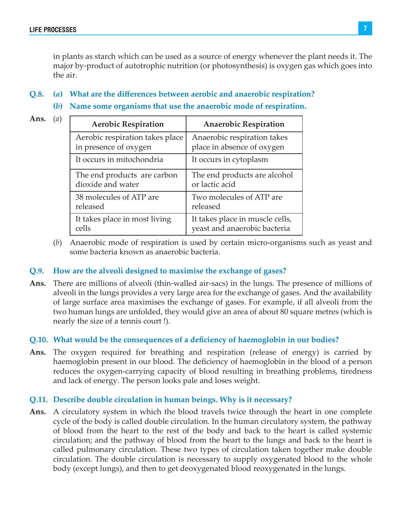in plants as starch which can be used as a source of energy whenever the plant needs it. The major by-product of autotrophic nutrition (or photosynthesis) is oxygen gas which goes into the air.

## **Q.8. (***a***) What are the differences between aerobic and anaerobic respiration?**

## **(***b***) Name some organisms that use the anaerobic mode of respiration.**

| Ans. |  | <b>Aerobic Respiration</b>                               | <b>Anaerobic Respiration</b>                                    |
|------|--|----------------------------------------------------------|-----------------------------------------------------------------|
|      |  | Aerobic respiration takes place<br>in presence of oxygen | Anaerobic respiration takes<br>place in absence of oxygen       |
|      |  | It occurs in mitochondria                                | It occurs in cytoplasm                                          |
|      |  | The end products are carbon<br>dioxide and water         | The end products are alcohol<br>or lactic acid                  |
|      |  | 38 molecules of ATP are<br>released                      | Two molecules of ATP are<br>released                            |
|      |  | It takes place in most living<br>cells                   | It takes place in muscle cells,<br>yeast and anaerobic bacteria |

(*b*) Anaerobic mode of respiration is used by certain micro-organisms such as yeast and some bacteria known as anaerobic bacteria.

## **Q.9. How are the alveoli designed to maximise the exchange of gases?**

**Ans.** There are millions of alveoli (thin-walled air-sacs) in the lungs. The presence of millions of alveoli in the lungs provides a very large area for the exchange of gases. And the availability of large surface area maximises the exchange of gases. For example, if all alveoli from the two human lungs are unfolded, they would give an area of about 80 square metres (which is nearly the size of a tennis court !).

## **Q.10. What would be the consequences of a deficiency of haemoglobin in our bodies?**

**Ans.** The oxygen required for breathing and respiration (release of energy) is carried by haemoglobin present in our blood. The deficiency of haemoglobin in the blood of a person reduces the oxygen-carrying capacity of blood resulting in breathing problems, tiredness and lack of energy. The person looks pale and loses weight.

## **Q.11. Describe double circulation in human beings. Why is it necessary?**

**Ans.** A circulatory system in which the blood travels twice through the heart in one complete cycle of the body is called double circulation. In the human circulatory system, the pathway of blood from the heart to the rest of the body and back to the heart is called systemic circulation; and the pathway of blood from the heart to the lungs and back to the heart is called pulmonary circulation. These two types of circulation taken together make double circulation. The double circulation is necessary to supply oxygenated blood to the whole body (except lungs), and then to get deoxygenated blood reoxygenated in the lungs.